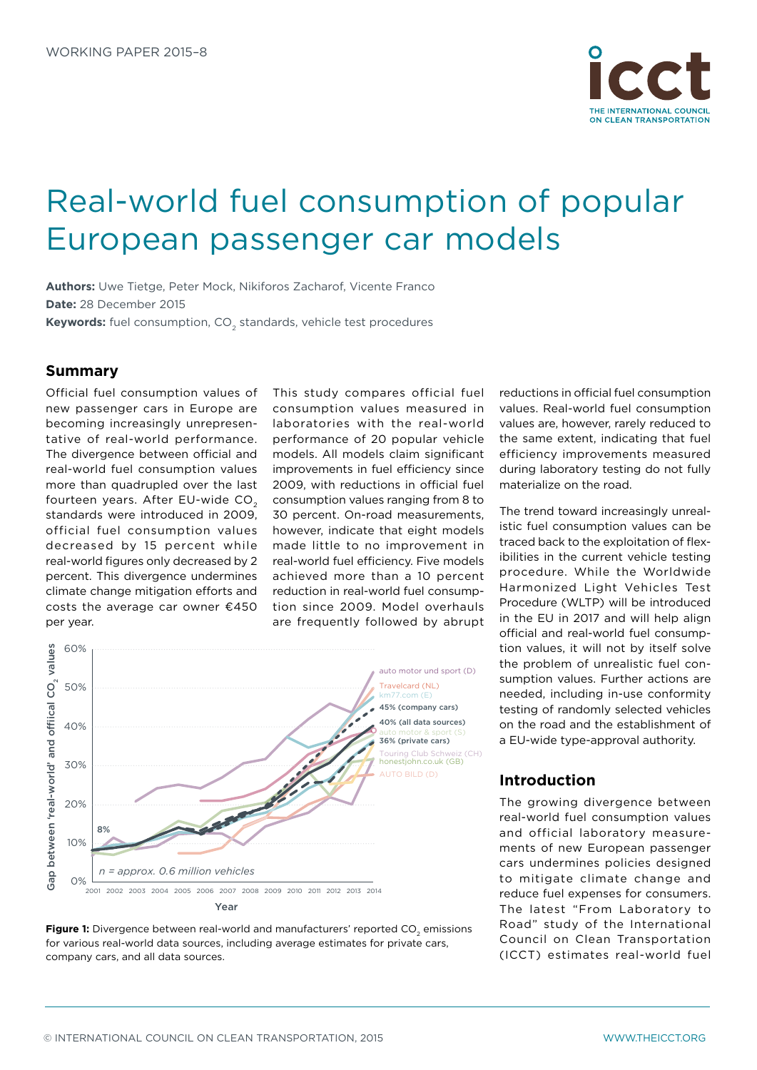

# Real-world fuel consumption of popular European passenger car models

**Authors:** Uwe Tietge, Peter Mock, Nikiforos Zacharof, Vicente Franco **Date:** 28 December 2015

**Keywords:** fuel consumption, CO<sub>2</sub> standards, vehicle test procedures

#### **Summary**

Official fuel consumption values of new passenger cars in Europe are becoming increasingly unrepresentative of real-world performance. The divergence between official and real-world fuel consumption values more than quadrupled over the last fourteen years. After EU-wide CO<sub>2</sub> standards were introduced in 2009, official fuel consumption values decreased by 15 percent while real-world figures only decreased by 2 percent. This divergence undermines climate change mitigation efforts and costs the average car owner €450 per year.

This study compares official fuel consumption values measured in laboratories with the real-world performance of 20 popular vehicle models. All models claim significant improvements in fuel efficiency since 2009, with reductions in official fuel consumption values ranging from 8 to 30 percent. On-road measurements, however, indicate that eight models made little to no improvement in real-world fuel efficiency. Five models achieved more than a 10 percent reduction in real-world fuel consumption since 2009. Model overhauls are frequently followed by abrupt





reductions in official fuel consumption values. Real-world fuel consumption values are, however, rarely reduced to the same extent, indicating that fuel efficiency improvements measured during laboratory testing do not fully materialize on the road.

The trend toward increasingly unrealistic fuel consumption values can be traced back to the exploitation of flexibilities in the current vehicle testing procedure. While the Worldwide Harmonized Light Vehicles Test Procedure (WLTP) will be introduced in the EU in 2017 and will help align official and real-world fuel consumption values, it will not by itself solve the problem of unrealistic fuel consumption values. Further actions are needed, including in-use conformity testing of randomly selected vehicles on the road and the establishment of a EU-wide type-approval authority.

### **Introduction**

The growing divergence between real-world fuel consumption values and official laboratory measurements of new European passenger cars undermines policies designed to mitigate climate change and reduce fuel expenses for consumers. The latest "From Laboratory to Road" study of the International Council on Clean Transportation (ICCT) estimates real-world fuel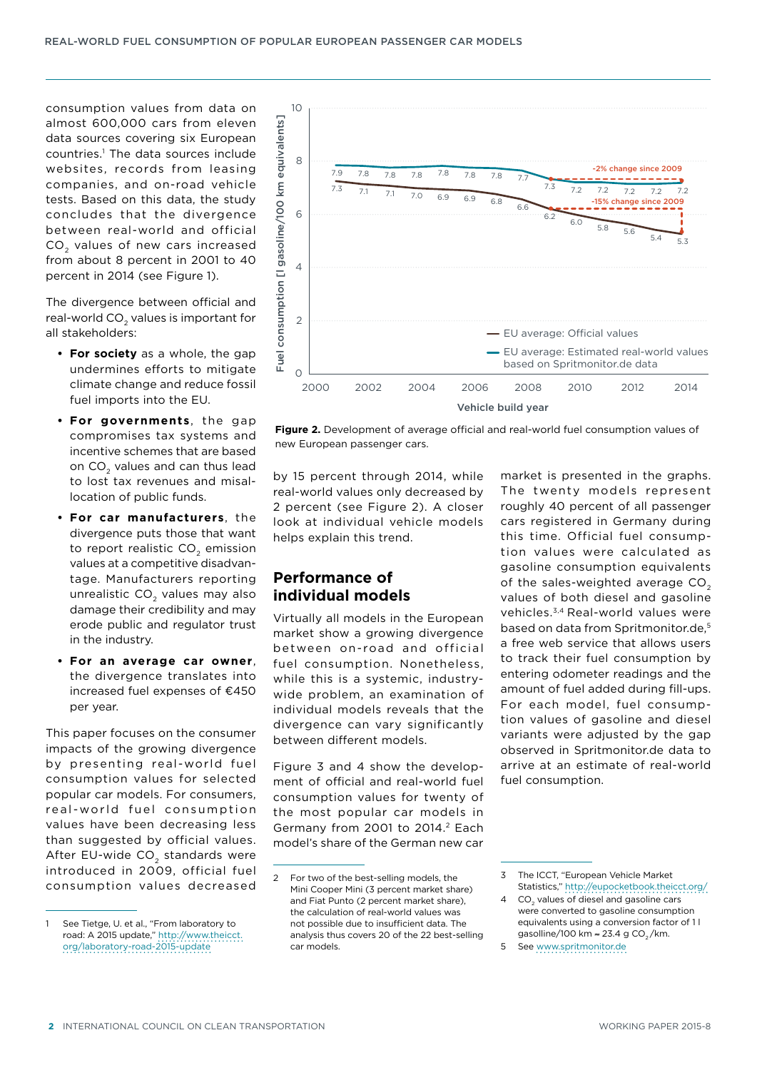consumption values from data on almost 600,000 cars from eleven data sources covering six European countries.1 The data sources include websites, records from leasing companies, and on-road vehicle tests. Based on this data, the study concludes that the divergence between real-world and official CO<sub>2</sub> values of new cars increased from about 8 percent in 2001 to 40 percent in 2014 (see Figure 1).

The divergence between official and real-world CO<sub>2</sub> values is important for all stakeholders:

- **• For society** as a whole, the gap undermines efforts to mitigate climate change and reduce fossil fuel imports into the EU.
- **• For governments**, the gap compromises tax systems and incentive schemes that are based on CO<sub>2</sub> values and can thus lead to lost tax revenues and misallocation of public funds.
- **• For car manufacturers**, the divergence puts those that want to report realistic  $CO<sub>2</sub>$  emission values at a competitive disadvantage. Manufacturers reporting unrealistic CO<sub>2</sub> values may also damage their credibility and may erode public and regulator trust in the industry.
- **• For an average car owner**, the divergence translates into increased fuel expenses of €450 per year.

This paper focuses on the consumer impacts of the growing divergence by presenting real-world fuel consumption values for selected popular car models. For consumers, real-world fuel consumption values have been decreasing less than suggested by official values. After EU-wide CO<sub>2</sub> standards were introduced in 2009, official fuel consumption values decreased



**Figure 2.** Development of average official and real-world fuel consumption values of new European passenger cars.

by 15 percent through 2014, while real-world values only decreased by 2 percent (see Figure 2). A closer look at individual vehicle models helps explain this trend.

## **Performance of individual models**

Virtually all models in the European market show a growing divergence between on-road and official fuel consumption. Nonetheless, while this is a systemic, industrywide problem, an examination of individual models reveals that the divergence can vary significantly between different models.

Figure 3 and 4 show the development of official and real-world fuel consumption values for twenty of the most popular car models in Germany from 2001 to 2014.<sup>2</sup> Each model's share of the German new car

market is presented in the graphs. The twenty models represent roughly 40 percent of all passenger cars registered in Germany during this time. Official fuel consumption values were calculated as gasoline consumption equivalents of the sales-weighted average CO<sub>2</sub> values of both diesel and gasoline vehicles.3,4 Real-world values were based on data from Spritmonitor.de.<sup>5</sup> a free web service that allows users to track their fuel consumption by entering odometer readings and the amount of fuel added during fill-ups. For each model, fuel consumption values of gasoline and diesel variants were adjusted by the gap observed in Spritmonitor.de data to arrive at an estimate of real-world fuel consumption.

See Tietge, U. et al., "From laboratory to road: A 2015 update," [http://www.theicct.](http://www.theicct.org/laboratory-road-2015-update) [org/laboratory-road-2015-update](http://www.theicct.org/laboratory-road-2015-update)

<sup>2</sup> For two of the best-selling models, the Mini Cooper Mini (3 percent market share) and Fiat Punto (2 percent market share), the calculation of real-world values was not possible due to insufficient data. The analysis thus covers 20 of the 22 best-selling car models.

<sup>3</sup> The ICCT, "European Vehicle Market Statistics," <http://eupocketbook.theicct.org/>

<sup>4</sup> CO2 values of diesel and gasoline cars were converted to gasoline consumption equivalents using a conversion factor of 1 l gasolline/100 km  $\approx$  23.4 g CO<sub>2</sub>/km.

<sup>5</sup> See<www.spritmonitor.de>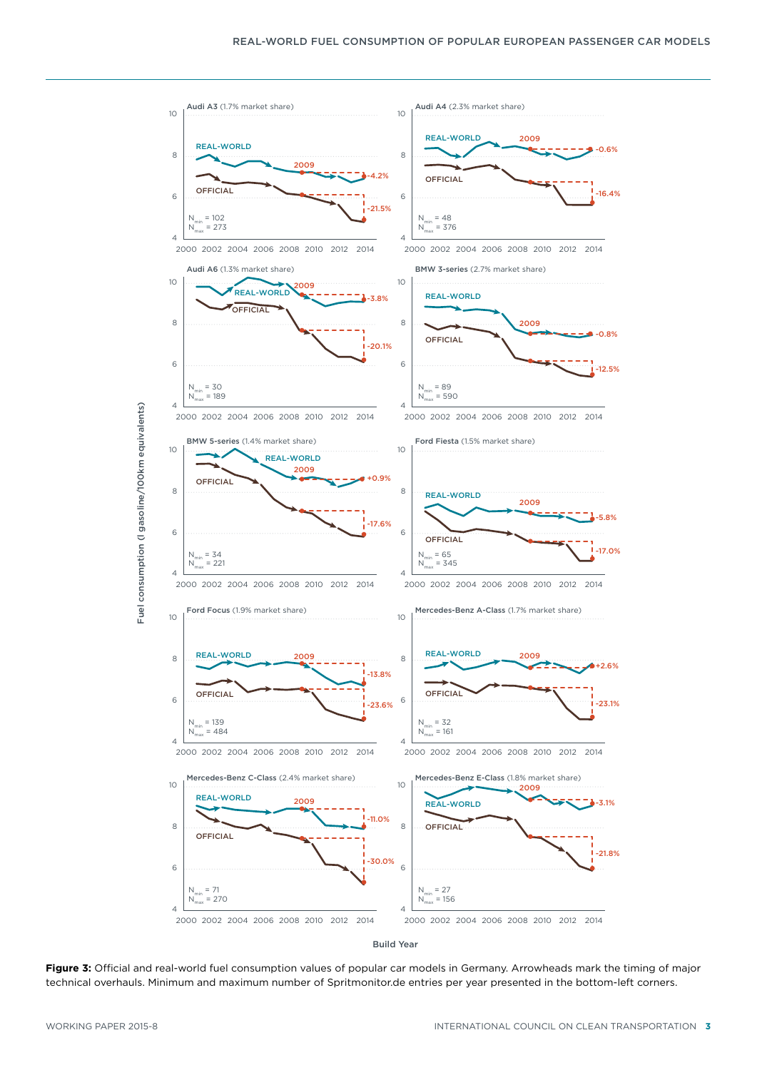

<span id="page-2-0"></span>Build Year

**Figure 3:** Official and real-world fuel consumption values of popular car models in Germany. Arrowheads mark the timing of major technical overhauls. Minimum and maximum number of Spritmonitor.de entries per year presented in the bottom-left corners.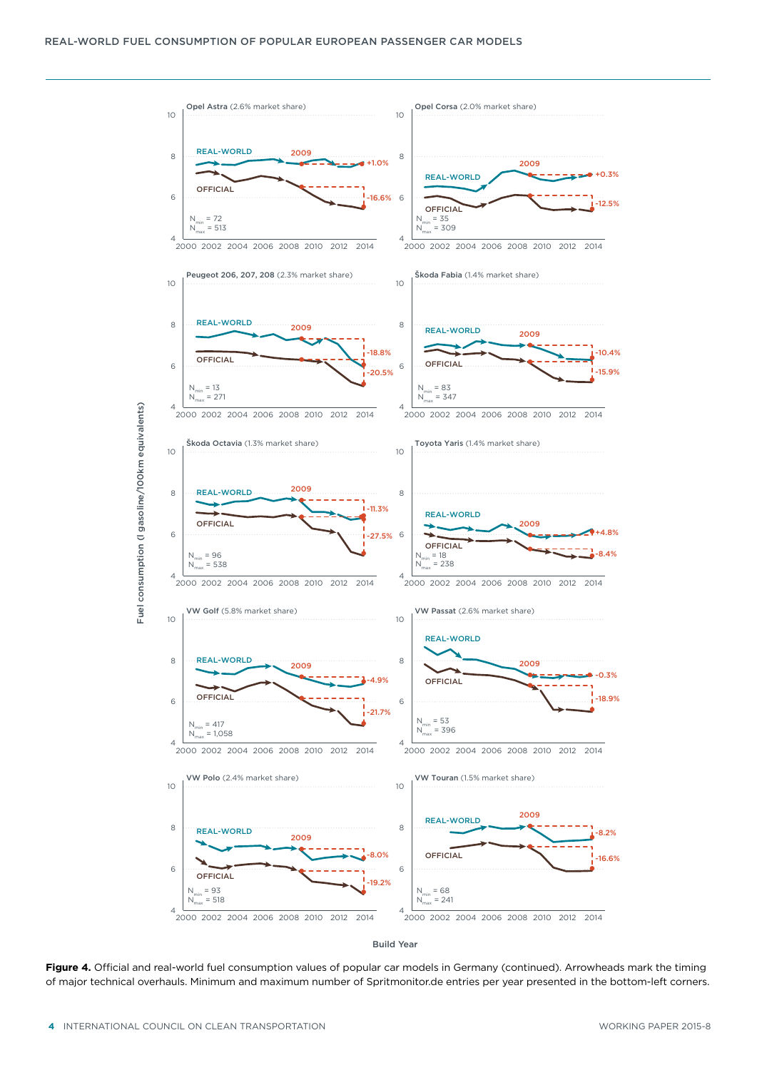

Build Year

<span id="page-3-0"></span>**Figure 4.** Official and real-world fuel consumption values of popular car models in Germany (continued). Arrowheads mark the timing of major technical overhauls. Minimum and maximum number of Spritmonitor.de entries per year presented in the bottom-left corners.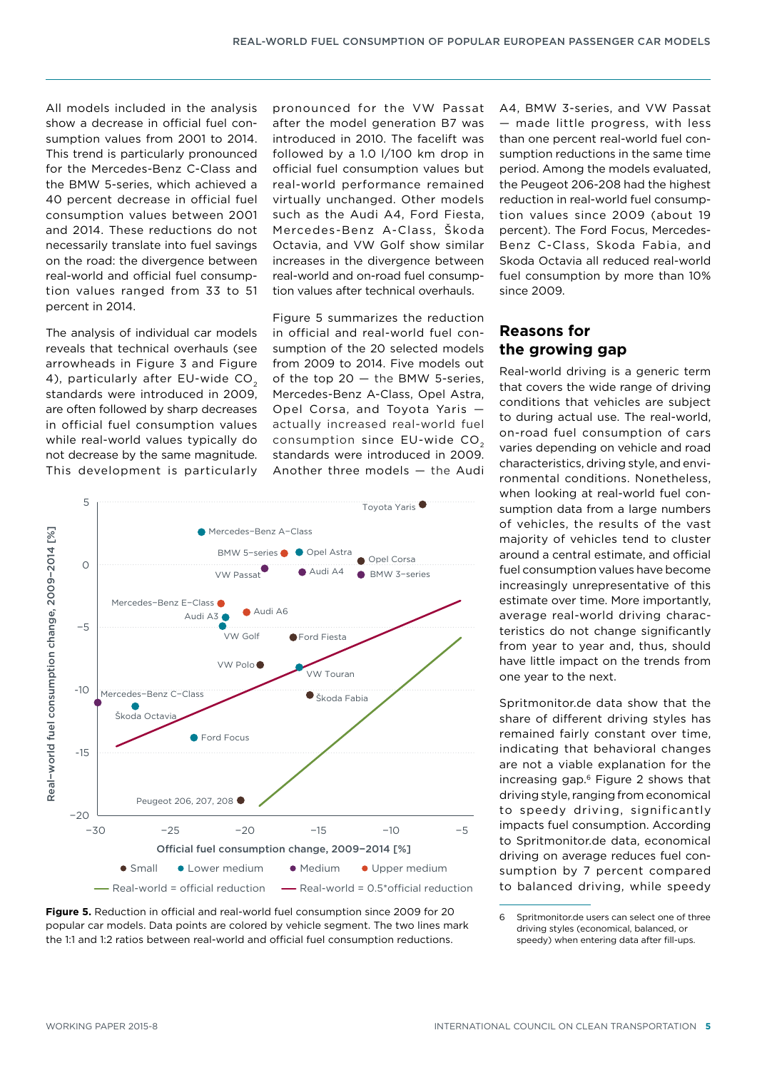All models included in the analysis show a decrease in official fuel consumption values from 2001 to 2014. This trend is particularly pronounced for the Mercedes-Benz C-Class and the BMW 5-series, which achieved a 40 percent decrease in official fuel consumption values between 2001 and 2014. These reductions do not necessarily translate into fuel savings on the road: the divergence between real-world and official fuel consumption values ranged from 33 to 51 percent in 2014.

The analysis of individual car models reveals that technical overhauls (see arrowheads in [Figure](#page-2-0) 3 and [Figure](#page-3-0) 4), particularly after EU-wide CO<sub>2</sub> standards were introduced in 2009, are often followed by sharp decreases in official fuel consumption values while real-world values typically do not decrease by the same magnitude. This development is particularly

pronounced for the VW Passat after the model generation B7 was introduced in 2010. The facelift was followed by a 1.0 l/100 km drop in official fuel consumption values but real-world performance remained virtually unchanged. Other models such as the Audi A4, Ford Fiesta, Mercedes-Benz A-Class, Škoda Octavia, and VW Golf show similar increases in the divergence between real-world and on-road fuel consumption values after technical overhauls.

Figure 5 summarizes the reduction in official and real-world fuel consumption of the 20 selected models from 2009 to 2014. Five models out of the top 20 — the BMW 5-series, Mercedes-Benz A-Class, Opel Astra, Opel Corsa, and Toyota Yaris actually increased real-world fuel consumption since EU-wide CO<sub>2</sub> standards were introduced in 2009. Another three models — the Audi





A4, BMW 3-series, and VW Passat — made little progress, with less than one percent real-world fuel consumption reductions in the same time period. Among the models evaluated, the Peugeot 206-208 had the highest reduction in real-world fuel consumption values since 2009 (about 19 percent). The Ford Focus, Mercedes-Benz C-Class, Skoda Fabia, and Skoda Octavia all reduced real-world fuel consumption by more than 10% since 2009.

### **Reasons for the growing gap**

Real-world driving is a generic term that covers the wide range of driving conditions that vehicles are subject to during actual use. The real-world, on-road fuel consumption of cars varies depending on vehicle and road characteristics, driving style, and environmental conditions. Nonetheless, when looking at real-world fuel consumption data from a large numbers of vehicles, the results of the vast majority of vehicles tend to cluster around a central estimate, and official fuel consumption values have become increasingly unrepresentative of this estimate over time. More importantly, average real-world driving characteristics do not change significantly from year to year and, thus, should have little impact on the trends from one year to the next.

Spritmonitor.de data show that the share of different driving styles has remained fairly constant over time, indicating that behavioral changes are not a viable explanation for the increasing gap.6 Figure 2 shows that driving style, ranging from economical to speedy driving, significantly impacts fuel consumption. According to Spritmonitor.de data, economical driving on average reduces fuel consumption by 7 percent compared to balanced driving, while speedy

<sup>6</sup> Spritmonitor.de users can select one of three driving styles (economical, balanced, or speedy) when entering data after fill-ups.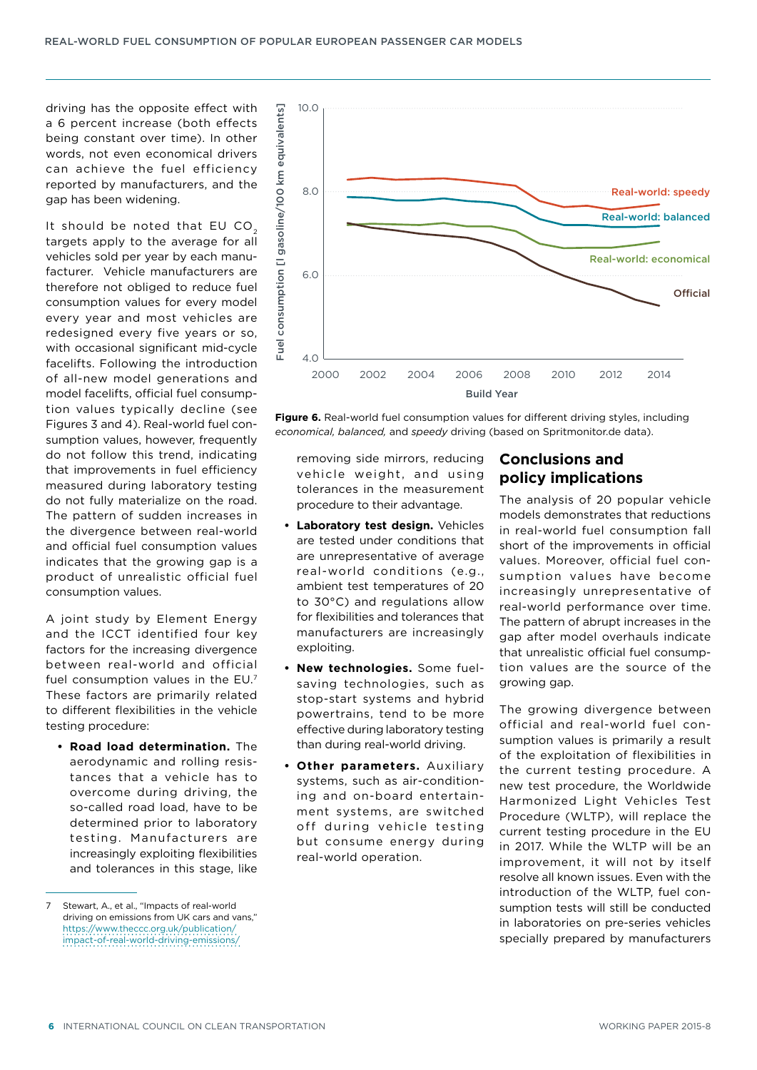driving has the opposite effect with a 6 percent increase (both effects being constant over time). In other words, not even economical drivers can achieve the fuel efficiency reported by manufacturers, and the gap has been widening.

It should be noted that EU CO<sub>2</sub> targets apply to the average for all vehicles sold per year by each manufacturer. Vehicle manufacturers are therefore not obliged to reduce fuel consumption values for every model every year and most vehicles are redesigned every five years or so, with occasional significant mid-cycle facelifts. Following the introduction of all-new model generations and model facelifts, official fuel consumption values typically decline (see Figures 3 and 4). Real-world fuel consumption values, however, frequently do not follow this trend, indicating that improvements in fuel efficiency measured during laboratory testing do not fully materialize on the road. The pattern of sudden increases in the divergence between real-world and official fuel consumption values indicates that the growing gap is a product of unrealistic official fuel consumption values.

A joint study by Element Energy and the ICCT identified four key factors for the increasing divergence between real-world and official fuel consumption values in the EU.7 These factors are primarily related to different flexibilities in the vehicle testing procedure:

**• Road load determination.** The aerodynamic and rolling resistances that a vehicle has to overcome during driving, the so-called road load, have to be determined prior to laboratory testing. Manufacturers are increasingly exploiting flexibilities and tolerances in this stage, like





removing side mirrors, reducing vehicle weight, and using tolerances in the measurement procedure to their advantage.

- **• Laboratory test design.** Vehicles are tested under conditions that are unrepresentative of average real-world conditions (e.g., ambient test temperatures of 20 to 30°C) and regulations allow for flexibilities and tolerances that manufacturers are increasingly exploiting.
- **• New technologies.** Some fuelsaving technologies, such as stop-start systems and hybrid powertrains, tend to be more effective during laboratory testing than during real-world driving.
- **• Other parameters.** Auxiliary systems, such as air-conditioning and on-board entertainment systems, are switched off during vehicle testing but consume energy during real-world operation.

# **Conclusions and policy implications**

The analysis of 20 popular vehicle models demonstrates that reductions in real-world fuel consumption fall short of the improvements in official values. Moreover, official fuel consumption values have become increasingly unrepresentative of real-world performance over time. The pattern of abrupt increases in the gap after model overhauls indicate that unrealistic official fuel consumption values are the source of the growing gap.

The growing divergence between official and real-world fuel consumption values is primarily a result of the exploitation of flexibilities in the current testing procedure. A new test procedure, the Worldwide Harmonized Light Vehicles Test Procedure (WLTP), will replace the current testing procedure in the EU in 2017. While the WLTP will be an improvement, it will not by itself resolve all known issues. Even with the introduction of the WLTP, fuel consumption tests will still be conducted in laboratories on pre-series vehicles specially prepared by manufacturers

Stewart, A., et al., "Impacts of real-world driving on emissions from UK cars and vans," [https://www.theccc.org.uk/publication/](https://www.theccc.org.uk/publication/impact-of-real-world-driving-emissions/) [impact-of-real-world-driving-emissions/](https://www.theccc.org.uk/publication/impact-of-real-world-driving-emissions/)